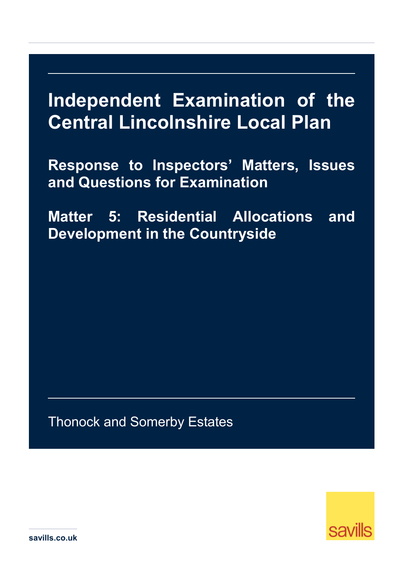## **Independent Examination of the Central Lincolnshire Local Plan**

**Response to Inspectors' Matters, Issues and Questions for Examination** 

**Matter 5: Residential Allocations and Development in the Countryside** 

Thonock and Somerby Estates



**savills.co.uk**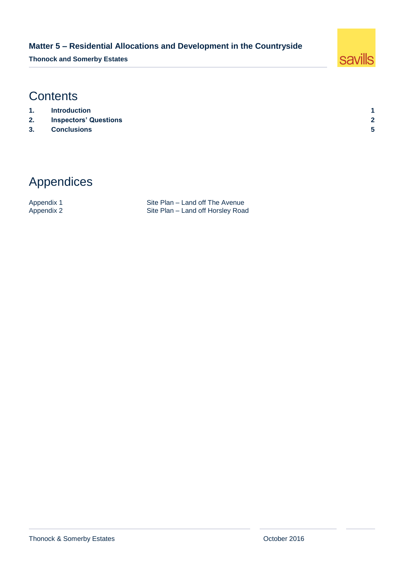#### **Matter 5 – Residential Allocations and Development in the Countryside**

**Thonock and Somerby Estates**



## **Contents**

- **1. [Introduction](#page-2-0) 1**
- **2. [Inspectors' Questions](#page-3-0) 2**
- **3. [Conclusions](#page-6-0) 5**
- 

## Appendices

Appendix 1 Site Plan – Land off The Avenue<br>Appendix 2 Site Plan – Land off Horsley Road Site Plan – Land off Horsley Road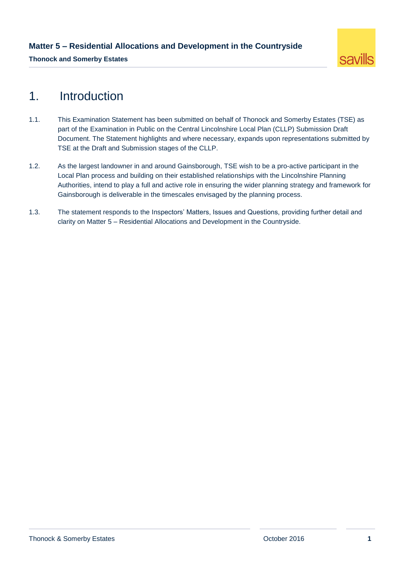

## <span id="page-2-0"></span>1. Introduction

- 1.1. This Examination Statement has been submitted on behalf of Thonock and Somerby Estates (TSE) as part of the Examination in Public on the Central Lincolnshire Local Plan (CLLP) Submission Draft Document. The Statement highlights and where necessary, expands upon representations submitted by TSE at the Draft and Submission stages of the CLLP.
- 1.2. As the largest landowner in and around Gainsborough, TSE wish to be a pro-active participant in the Local Plan process and building on their established relationships with the Lincolnshire Planning Authorities, intend to play a full and active role in ensuring the wider planning strategy and framework for Gainsborough is deliverable in the timescales envisaged by the planning process.
- 1.3. The statement responds to the Inspectors' Matters, Issues and Questions, providing further detail and clarity on Matter 5 – Residential Allocations and Development in the Countryside.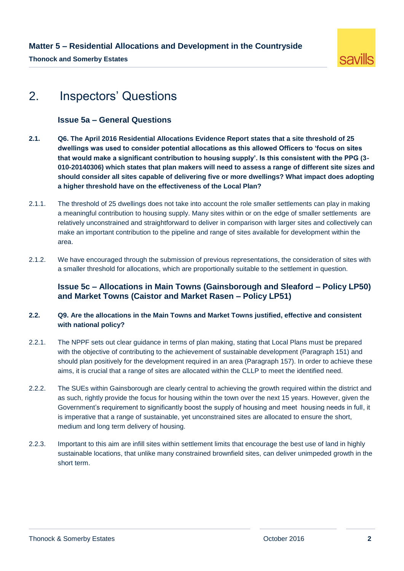

## <span id="page-3-0"></span>2. Inspectors' Questions

#### **Issue 5a – General Questions**

- **2.1. Q6. The April 2016 Residential Allocations Evidence Report states that a site threshold of 25 dwellings was used to consider potential allocations as this allowed Officers to 'focus on sites that would make a significant contribution to housing supply'. Is this consistent with the PPG (3- 010-20140306) which states that plan makers will need to assess a range of different site sizes and should consider all sites capable of delivering five or more dwellings? What impact does adopting a higher threshold have on the effectiveness of the Local Plan?**
- 2.1.1. The threshold of 25 dwellings does not take into account the role smaller settlements can play in making a meaningful contribution to housing supply. Many sites within or on the edge of smaller settlements are relatively unconstrained and straightforward to deliver in comparison with larger sites and collectively can make an important contribution to the pipeline and range of sites available for development within the area.
- 2.1.2. We have encouraged through the submission of previous representations, the consideration of sites with a smaller threshold for allocations, which are proportionally suitable to the settlement in question.

#### **Issue 5c – Allocations in Main Towns (Gainsborough and Sleaford – Policy LP50) and Market Towns (Caistor and Market Rasen – Policy LP51)**

#### **2.2. Q9. Are the allocations in the Main Towns and Market Towns justified, effective and consistent with national policy?**

- 2.2.1. The NPPF sets out clear guidance in terms of plan making, stating that Local Plans must be prepared with the objective of contributing to the achievement of sustainable development (Paragraph 151) and should plan positively for the development required in an area (Paragraph 157). In order to achieve these aims, it is crucial that a range of sites are allocated within the CLLP to meet the identified need.
- 2.2.2. The SUEs within Gainsborough are clearly central to achieving the growth required within the district and as such, rightly provide the focus for housing within the town over the next 15 years. However, given the Government's requirement to significantly boost the supply of housing and meet housing needs in full, it is imperative that a range of sustainable, yet unconstrained sites are allocated to ensure the short, medium and long term delivery of housing.
- 2.2.3. Important to this aim are infill sites within settlement limits that encourage the best use of land in highly sustainable locations, that unlike many constrained brownfield sites, can deliver unimpeded growth in the short term.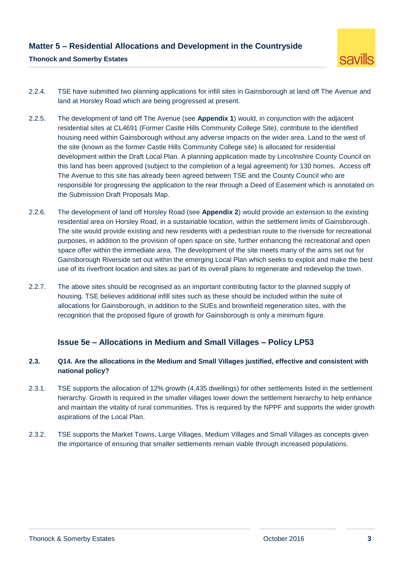

- 2.2.4. TSE have submitted two planning applications for infill sites in Gainsborough at land off The Avenue and land at Horsley Road which are being progressed at present.
- 2.2.5. The development of land off The Avenue (see **Appendix 1**) would, in conjunction with the adjacent residential sites at CL4691 (Former Castle Hills Community College Site), contribute to the identified housing need within Gainsborough without any adverse impacts on the wider area. Land to the west of the site (known as the former Castle Hills Community College site) is allocated for residential development within the Draft Local Plan. A planning application made by Lincolnshire County Council on this land has been approved (subject to the completion of a legal agreement) for 130 homes. Access off The Avenue to this site has already been agreed between TSE and the County Council who are responsible for progressing the application to the rear through a Deed of Easement which is annotated on the Submission Draft Proposals Map.
- 2.2.6. The development of land off Horsley Road (see **Appendix 2**) would provide an extension to the existing residential area on Horsley Road, in a sustainable location, within the settlement limits of Gainsborough. The site would provide existing and new residents with a pedestrian route to the riverside for recreational purposes, in addition to the provision of open space on site, further enhancing the recreational and open space offer within the immediate area. The development of the site meets many of the aims set out for Gainsborough Riverside set out within the emerging Local Plan which seeks to exploit and make the best use of its riverfront location and sites as part of its overall plans to regenerate and redevelop the town.
- 2.2.7. The above sites should be recognised as an important contributing factor to the planned supply of housing. TSE believes additional infill sites such as these should be included within the suite of allocations for Gainsborough, in addition to the SUEs and brownfield regeneration sites, with the recognition that the proposed figure of growth for Gainsborough is only a minimum figure.

#### **Issue 5e – Allocations in Medium and Small Villages – Policy LP53**

#### **2.3. Q14. Are the allocations in the Medium and Small Villages justified, effective and consistent with national policy?**

- 2.3.1. TSE supports the allocation of 12% growth (4,435 dwellings) for other settlements listed in the settlement hierarchy. Growth is required in the smaller villages lower down the settlement hierarchy to help enhance and maintain the vitality of rural communities. This is required by the NPPF and supports the wider growth aspirations of the Local Plan.
- 2.3.2. TSE supports the Market Towns, Large Villages, Medium Villages and Small Villages as concepts given the importance of ensuring that smaller settlements remain viable through increased populations.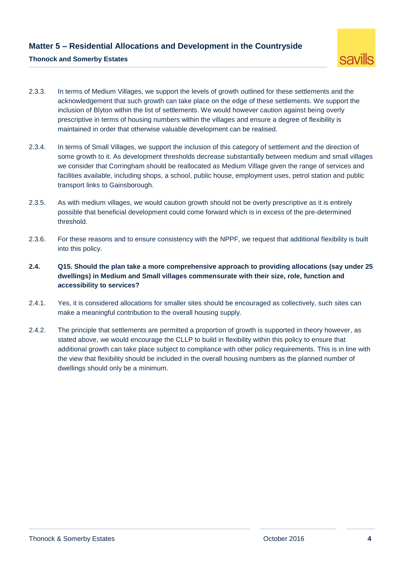#### **Matter 5 – Residential Allocations and Development in the Countryside**

# savills

#### **Thonock and Somerby Estates**

- 2.3.3. In terms of Medium Villages, we support the levels of growth outlined for these settlements and the acknowledgement that such growth can take place on the edge of these settlements. We support the inclusion of Blyton within the list of settlements. We would however caution against being overly prescriptive in terms of housing numbers within the villages and ensure a degree of flexibility is maintained in order that otherwise valuable development can be realised.
- 2.3.4. In terms of Small Villages, we support the inclusion of this category of settlement and the direction of some growth to it. As development thresholds decrease substantially between medium and small villages we consider that Corringham should be reallocated as Medium Village given the range of services and facilities available, including shops, a school, public house, employment uses, petrol station and public transport links to Gainsborough.
- 2.3.5. As with medium villages, we would caution growth should not be overly prescriptive as it is entirely possible that beneficial development could come forward which is in excess of the pre-determined threshold.
- 2.3.6. For these reasons and to ensure consistency with the NPPF, we request that additional flexibility is built into this policy.
- **2.4. Q15. Should the plan take a more comprehensive approach to providing allocations (say under 25 dwellings) in Medium and Small villages commensurate with their size, role, function and accessibility to services?**
- 2.4.1. Yes, it is considered allocations for smaller sites should be encouraged as collectively, such sites can make a meaningful contribution to the overall housing supply.
- 2.4.2. The principle that settlements are permitted a proportion of growth is supported in theory however, as stated above, we would encourage the CLLP to build in flexibility within this policy to ensure that additional growth can take place subject to compliance with other policy requirements. This is in line with the view that flexibility should be included in the overall housing numbers as the planned number of dwellings should only be a minimum.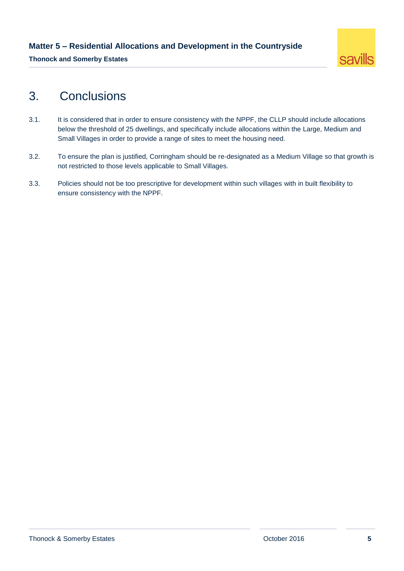

### <span id="page-6-0"></span>3. Conclusions

- 3.1. It is considered that in order to ensure consistency with the NPPF, the CLLP should include allocations below the threshold of 25 dwellings, and specifically include allocations within the Large, Medium and Small Villages in order to provide a range of sites to meet the housing need.
- 3.2. To ensure the plan is justified, Corringham should be re-designated as a Medium Village so that growth is not restricted to those levels applicable to Small Villages.
- 3.3. Policies should not be too prescriptive for development within such villages with in built flexibility to ensure consistency with the NPPF.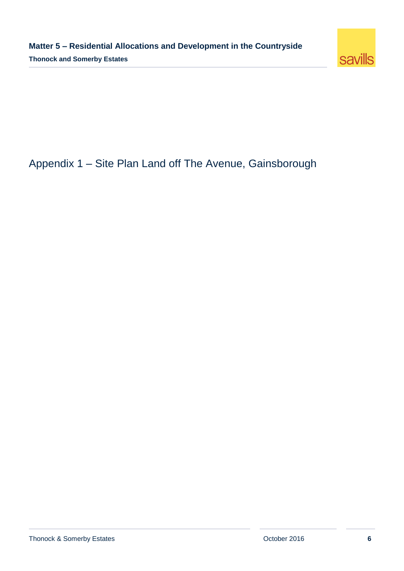

## Appendix 1 – Site Plan Land off The Avenue, Gainsborough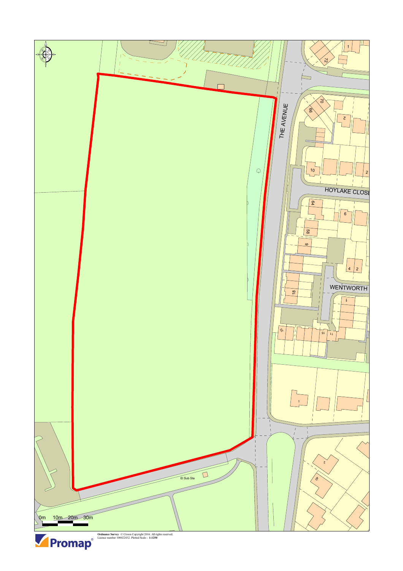



**Ordnance Survey** © Crown Copyright 2016. All rights reserved. Licence number 100022432. Plotted Scale - **1:1250**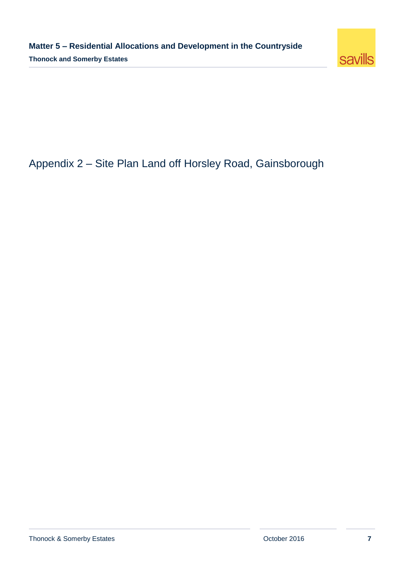

## Appendix 2 – Site Plan Land off Horsley Road, Gainsborough